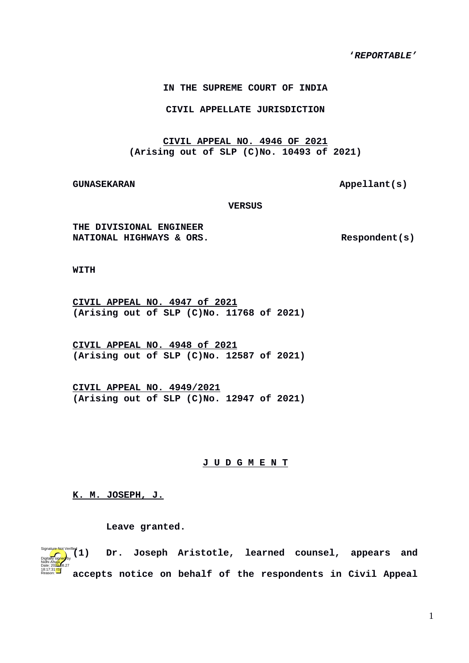**'***REPORTABLE'*

**IN THE SUPREME COURT OF INDIA**

**CIVIL APPELLATE JURISDICTION**

**CIVIL APPEAL NO. 4946 OF 2021 (Arising out of SLP (C)No. 10493 of 2021)**

GUNASEKARAN **Appellant(s)** 

**VERSUS**

**THE DIVISIONAL ENGINEER NATIONAL HIGHWAYS & ORS.** Respondent(s)

**WITH**

**CIVIL APPEAL NO. 4947 of 2021 (Arising out of SLP (C)No. 11768 of 2021)**

**CIVIL APPEAL NO. 4948 of 2021 (Arising out of SLP (C)No. 12587 of 2021)**

**CIVIL APPEAL NO. 4949/2021 (Arising out of SLP (C)No. 12947 of 2021)**

## **J U D G M E N T**

**K. M. JOSEPH, J.**

**Leave granted.** 

**(1) Dr. Joseph Aristotle, learned counsel, appears and accepts notice on behalf of the respondents in Civil Appeal** Digitally signed by Nidhi Ahuja Date: 2024-08.27 18:17:31<sup>1ST</sup> Reason:  $(1)$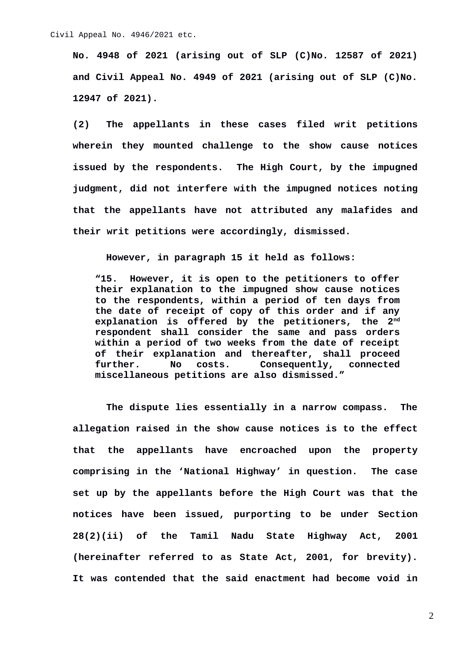**No. 4948 of 2021 (arising out of SLP (C)No. 12587 of 2021) and Civil Appeal No. 4949 of 2021 (arising out of SLP (C)No. 12947 of 2021).**

**(2) The appellants in these cases filed writ petitions wherein they mounted challenge to the show cause notices issued by the respondents. The High Court, by the impugned judgment, did not interfere with the impugned notices noting that the appellants have not attributed any malafides and their writ petitions were accordingly, dismissed.**

**However, in paragraph 15 it held as follows:** 

**"15. However, it is open to the petitioners to offer their explanation to the impugned show cause notices to the respondents, within a period of ten days from the date of receipt of copy of this order and if any explanation is offered by the petitioners, the 2nd respondent shall consider the same and pass orders within a period of two weeks from the date of receipt of their explanation and thereafter, shall proceed further. No costs. Consequently, connected miscellaneous petitions are also dismissed."**

**The dispute lies essentially in a narrow compass. The allegation raised in the show cause notices is to the effect that the appellants have encroached upon the property comprising in the 'National Highway' in question. The case set up by the appellants before the High Court was that the notices have been issued, purporting to be under Section 28(2)(ii) of the Tamil Nadu State Highway Act, 2001 (hereinafter referred to as State Act, 2001, for brevity). It was contended that the said enactment had become void in**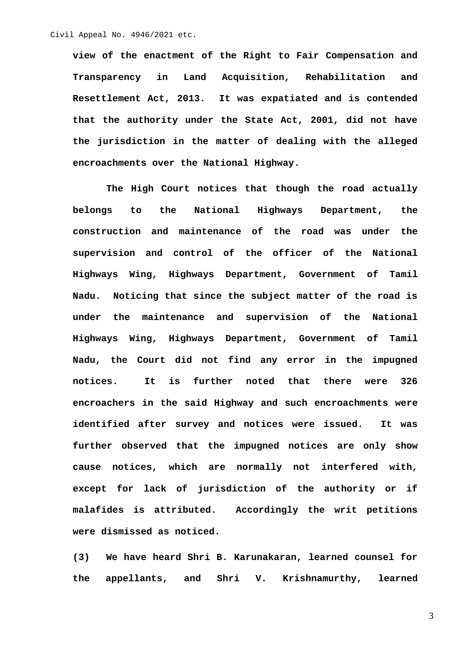**view of the enactment of the Right to Fair Compensation and Transparency in Land Acquisition, Rehabilitation and Resettlement Act, 2013. It was expatiated and is contended that the authority under the State Act, 2001, did not have the jurisdiction in the matter of dealing with the alleged encroachments over the National Highway.** 

**The High Court notices that though the road actually belongs to the National Highways Department, the construction and maintenance of the road was under the supervision and control of the officer of the National Highways Wing, Highways Department, Government of Tamil Nadu. Noticing that since the subject matter of the road is under the maintenance and supervision of the National Highways Wing, Highways Department, Government of Tamil Nadu, the Court did not find any error in the impugned notices. It is further noted that there were 326 encroachers in the said Highway and such encroachments were identified after survey and notices were issued. It was further observed that the impugned notices are only show cause notices, which are normally not interfered with, except for lack of jurisdiction of the authority or if malafides is attributed. Accordingly the writ petitions were dismissed as noticed.**

**(3) We have heard Shri B. Karunakaran, learned counsel for the appellants, and Shri V. Krishnamurthy, learned**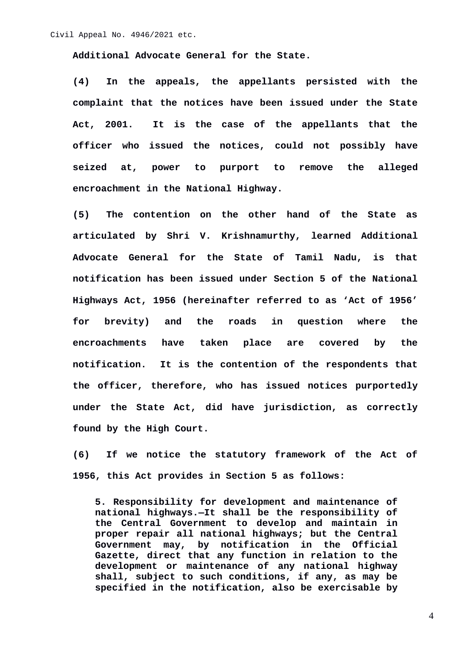**Additional Advocate General for the State.**

**(4) In the appeals, the appellants persisted with the complaint that the notices have been issued under the State Act, 2001. It is the case of the appellants that the officer who issued the notices, could not possibly have seized at, power to purport to remove the alleged encroachment in the National Highway.**

**(5) The contention on the other hand of the State as articulated by Shri V. Krishnamurthy, learned Additional Advocate General for the State of Tamil Nadu, is that notification has been issued under Section 5 of the National Highways Act, 1956 (hereinafter referred to as 'Act of 1956' for brevity) and the roads in question where the encroachments have taken place are covered by the notification. It is the contention of the respondents that the officer, therefore, who has issued notices purportedly under the State Act, did have jurisdiction, as correctly found by the High Court.**

**(6) If we notice the statutory framework of the Act of 1956, this Act provides in Section 5 as follows:** 

**5. Responsibility for development and maintenance of national highways.—It shall be the responsibility of the Central Government to develop and maintain in proper repair all national highways; but the Central** by notification in the Official **Gazette, direct that any function in relation to the development or maintenance of any national highway shall, subject to such conditions, if any, as may be specified in the notification, also be exercisable by**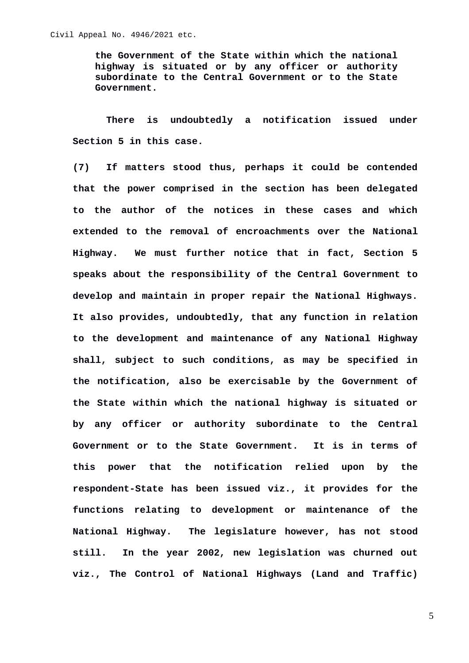**the Government of the State within which the national highway is situated or by any officer or authority subordinate to the Central Government or to the State Government.**

**There is undoubtedly a notification issued under Section 5 in this case.**

**(7) If matters stood thus, perhaps it could be contended that the power comprised in the section has been delegated to the author of the notices in these cases and which extended to the removal of encroachments over the National Highway. We must further notice that in fact, Section 5 speaks about the responsibility of the Central Government to develop and maintain in proper repair the National Highways. It also provides, undoubtedly, that any function in relation to the development and maintenance of any National Highway shall, subject to such conditions, as may be specified in the notification, also be exercisable by the Government of the State within which the national highway is situated or by any officer or authority subordinate to the Central Government or to the State Government. It is in terms of this power that the notification relied upon by the respondent-State has been issued viz., it provides for the functions relating to development or maintenance of the National Highway. The legislature however, has not stood still. In the year 2002, new legislation was churned out viz., The Control of National Highways (Land and Traffic)**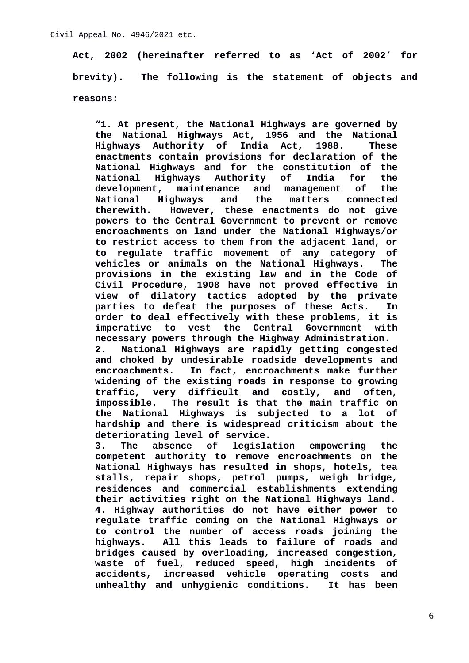**Act, 2002 (hereinafter referred to as 'Act of 2002' for brevity). The following is the statement of objects and reasons:**

**"1. At present, the National Highways are governed by the National Highways Act, 1956 and the National Highways Authority of India Act, 1988. These enactments contain provisions for declaration of the National Highways and for the constitution of the National Highways Authority of India for the development, maintenance and management of the National Highways and the matters connected therewith. However, these enactments do not give powers to the Central Government to prevent or remove encroachments on land under the National Highways/or to restrict access to them from the adjacent land, or to regulate traffic movement of any category of vehicles or animals on the National Highways. The provisions in the existing law and in the Code of Civil Procedure, 1908 have not proved effective in view of dilatory tactics adopted by the private parties to defeat the purposes of these Acts. In order to deal effectively with these problems, it is imperative to vest the Central Government with necessary powers through the Highway Administration. 2. National Highways are rapidly getting congested and choked by undesirable roadside developments and encroachments. In fact, encroachments make further widening of the existing roads in response to growing traffic, very difficult and costly, and often, impossible. The result is that the main traffic on the National Highways is subjected to a lot of hardship and there is widespread criticism about the deteriorating level of service.**

**3. The absence of legislation empowering the competent authority to remove encroachments on the National Highways has resulted in shops, hotels, tea stalls, repair shops, petrol pumps, weigh bridge, residences and commercial establishments extending their activities right on the National Highways land. 4. Highway authorities do not have either power to regulate traffic coming on the National Highways or to control the number of access roads joining the highways. All this leads to failure of roads and bridges caused by overloading, increased congestion, waste of fuel, reduced speed, high incidents of accidents, increased vehicle operating costs and unhealthy and unhygienic conditions. It has been**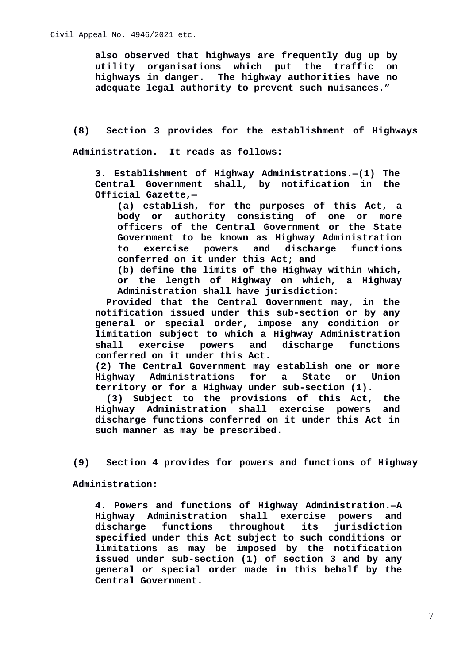**also observed that highways are frequently dug up by utility organisations which put the traffic on highways in danger. The highway authorities have no adequate legal authority to prevent such nuisances."**

**(8) Section 3 provides for the establishment of Highways Administration. It reads as follows:** 

**3. Establishment of Highway Administrations.—(1) The Central Government shall, by notification in the Official Gazette,—**

**(a) establish, for the purposes of this Act, a body or authority consisting of one or more officers of the Central Government or the State Government to be known as Highway Administration to exercise powers and discharge functions conferred on it under this Act; and**

**(b) define the limits of the Highway within which, or the length of Highway on which, a Highway Administration shall have jurisdiction:** 

**Provided that the Central Government may, in the notification issued under this sub-section or by any general or special order, impose any condition or limitation subject to which a Highway Administration shall exercise powers and discharge functions conferred on it under this Act.**

**(2) The Central Government may establish one or more Highway Administrations for a State or Union territory or for a Highway under sub-section (1).**

**(3) Subject to the provisions of this Act, the Highway Administration shall exercise powers and discharge functions conferred on it under this Act in such manner as may be prescribed.**

**(9) Section 4 provides for powers and functions of Highway**

**Administration:**

**4. Powers and functions of Highway Administration.—A Highway Administration shall exercise powers and discharge functions throughout its jurisdiction specified under this Act subject to such conditions or limitations as may be imposed by the notification issued under sub-section (1) of section 3 and by any general or special order made in this behalf by the Central Government.**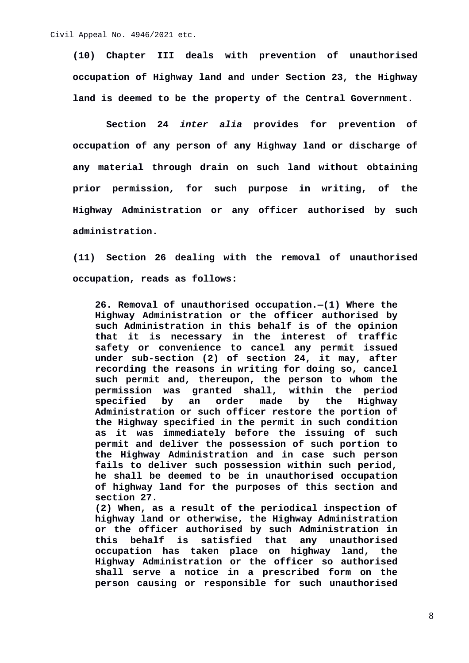**(10) Chapter III deals with prevention of unauthorised occupation of Highway land and under Section 23, the Highway land is deemed to be the property of the Central Government.**

**Section 24** *inter alia* **provides for prevention of occupation of any person of any Highway land or discharge of any material through drain on such land without obtaining prior permission, for such purpose in writing, of the Highway Administration or any officer authorised by such administration.**

**(11) Section 26 dealing with the removal of unauthorised occupation, reads as follows:**

**26. Removal of unauthorised occupation.—(1) Where the Highway Administration or the officer authorised by such Administration in this behalf is of the opinion that it is necessary in the interest of traffic safety or convenience to cancel any permit issued under sub-section (2) of section 24, it may, after recording the reasons in writing for doing so, cancel such permit and, thereupon, the person to whom the permission was granted shall, within the period specified by an order made by the Highway Administration or such officer restore the portion of the Highway specified in the permit in such condition as it was immediately before the issuing of such permit and deliver the possession of such portion to the Highway Administration and in case such person fails to deliver such possession within such period, he shall be deemed to be in unauthorised occupation of highway land for the purposes of this section and section 27.**

**(2) When, as a result of the periodical inspection of highway land or otherwise, the Highway Administration or the officer authorised by such Administration in this behalf is satisfied that any unauthorised occupation has taken place on highway land, the Highway Administration or the officer so authorised shall serve a notice in a prescribed form on the person causing or responsible for such unauthorised**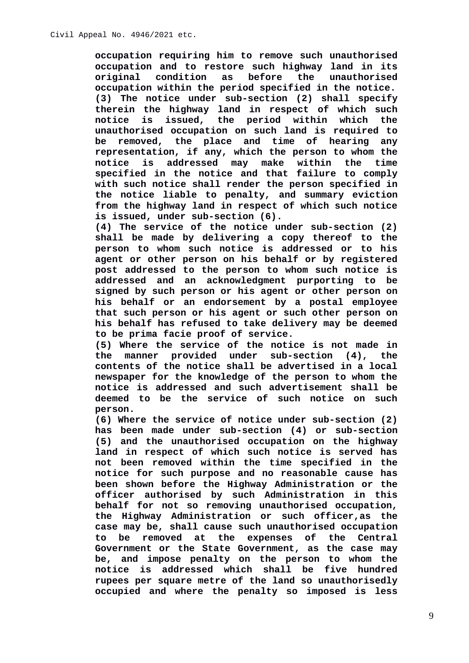**occupation requiring him to remove such unauthorised occupation and to restore such highway land in its original condition as before the unauthorised occupation within the period specified in the notice. (3) The notice under sub-section (2) shall specify therein the highway land in respect of which such notice is issued, the period within which the unauthorised occupation on such land is required to be removed, the place and time of hearing any representation, if any, which the person to whom the notice is addressed may make within the time specified in the notice and that failure to comply with such notice shall render the person specified in the notice liable to penalty, and summary eviction from the highway land in respect of which such notice is issued, under sub-section (6).**

**(4) The service of the notice under sub-section (2) shall be made by delivering a copy thereof to the person to whom such notice is addressed or to his agent or other person on his behalf or by registered post addressed to the person to whom such notice is addressed and an acknowledgment purporting to be signed by such person or his agent or other person on his behalf or an endorsement by a postal employee that such person or his agent or such other person on his behalf has refused to take delivery may be deemed to be prima facie proof of service.**

**(5) Where the service of the notice is not made in the manner provided under sub-section (4), the contents of the notice shall be advertised in a local newspaper for the knowledge of the person to whom the notice is addressed and such advertisement shall be deemed to be the service of such notice on such person.**

**(6) Where the service of notice under sub-section (2) has been made under sub-section (4) or sub-section (5) and the unauthorised occupation on the highway land in respect of which such notice is served has not been removed within the time specified in the notice for such purpose and no reasonable cause has been shown before the Highway Administration or the officer authorised by such Administration in this behalf for not so removing unauthorised occupation, the Highway Administration or such officer,as the case may be, shall cause such unauthorised occupation to be removed at the expenses of the Central Government or the State Government, as the case may be, and impose penalty on the person to whom the notice is addressed which shall be five hundred rupees per square metre of the land so unauthorisedly occupied and where the penalty so imposed is less**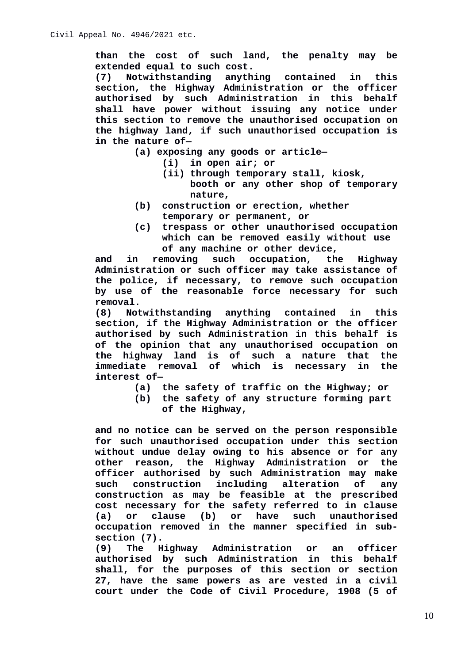**than the cost of such land, the penalty may be extended equal to such cost.**

**(7) Notwithstanding anything contained in this section, the Highway Administration or the officer authorised by such Administration in this behalf shall have power without issuing any notice under this section to remove the unauthorised occupation on the highway land, if such unauthorised occupation is in the nature of—**

- **(a) exposing any goods or article—**
	- **(i) in open air; or**
	- **(ii) through temporary stall, kiosk, booth or any other shop of temporary nature,**
- **(b) construction or erection, whether temporary or permanent, or**
- **(c) trespass or other unauthorised occupation which can be removed easily without use of any machine or other device,**

**and in removing such occupation, the Highway Administration or such officer may take assistance of the police, if necessary, to remove such occupation by use of the reasonable force necessary for such removal.**

**(8) Notwithstanding anything contained in this section, if the Highway Administration or the officer authorised by such Administration in this behalf is of the opinion that any unauthorised occupation on the highway land is of such a nature that the immediate removal of which is necessary in the interest of—**

- **(a) the safety of traffic on the Highway; or**
- **(b) the safety of any structure forming part of the Highway,**

**and no notice can be served on the person responsible for such unauthorised occupation under this section without undue delay owing to his absence or for any other reason, the Highway Administration or the officer authorised by such Administration may make such construction including alteration of any construction as may be feasible at the prescribed cost necessary for the safety referred to in clause (a) or clause (b) or have such unauthorised occupation removed in the manner specified in subsection (7).**

**(9) The Highway Administration or an officer authorised by such Administration in this behalf shall, for the purposes of this section or section 27, have the same powers as are vested in a civil court under the Code of Civil Procedure, 1908 (5 of**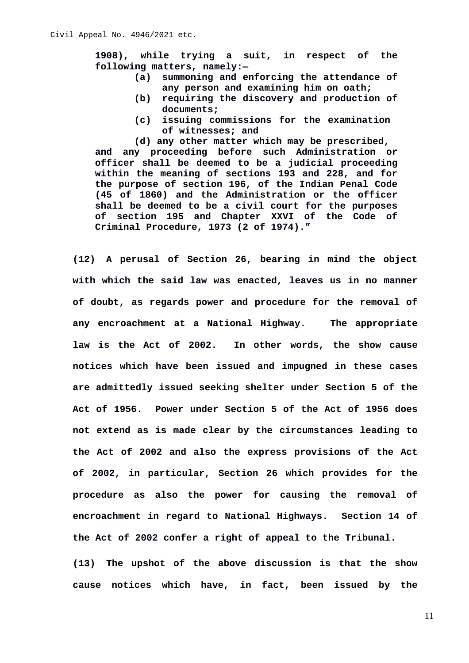**1908), while trying a suit, in respect of the following matters, namely:—**

- **(a) summoning and enforcing the attendance of any person and examining him on oath;**
- **(b) requiring the discovery and production of documents;**
- **(c) issuing commissions for the examination of witnesses; and**

**(d) any other matter which may be prescribed, and any proceeding before such Administration or officer shall be deemed to be a judicial proceeding within the meaning of sections 193 and 228, and for the purpose of section 196, of the Indian Penal Code (45 of 1860) and the Administration or the officer shall be deemed to be a civil court for the purposes of section 195 and Chapter XXVI of the Code of Criminal Procedure, 1973 (2 of 1974)."**

**(12) A perusal of Section 26, bearing in mind the object with which the said law was enacted, leaves us in no manner of doubt, as regards power and procedure for the removal of any encroachment at a National Highway. The appropriate law is the Act of 2002. In other words, the show cause notices which have been issued and impugned in these cases are admittedly issued seeking shelter under Section 5 of the Act of 1956. Power under Section 5 of the Act of 1956 does not extend as is made clear by the circumstances leading to the Act of 2002 and also the express provisions of the Act of 2002, in particular, Section 26 which provides for the procedure as also the power for causing the removal of encroachment in regard to National Highways. Section 14 of the Act of 2002 confer a right of appeal to the Tribunal.**

**(13) The upshot of the above discussion is that the show cause notices which have, in fact, been issued by the**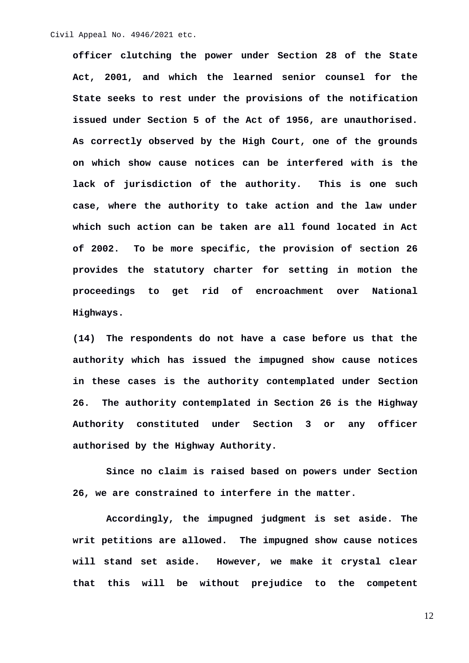**officer clutching the power under Section 28 of the State Act, 2001, and which the learned senior counsel for the State seeks to rest under the provisions of the notification issued under Section 5 of the Act of 1956, are unauthorised. As correctly observed by the High Court, one of the grounds on which show cause notices can be interfered with is the lack of jurisdiction of the authority. This is one such case, where the authority to take action and the law under which such action can be taken are all found located in Act of 2002. To be more specific, the provision of section 26 provides the statutory charter for setting in motion the proceedings to get rid of encroachment over National Highways.** 

**(14) The respondents do not have a case before us that the authority which has issued the impugned show cause notices in these cases is the authority contemplated under Section 26. The authority contemplated in Section 26 is the Highway Authority constituted under Section 3 or any officer authorised by the Highway Authority.**

**Since no claim is raised based on powers under Section 26, we are constrained to interfere in the matter.** 

**Accordingly, the impugned judgment is set aside. The writ petitions are allowed. The impugned show cause notices will stand set aside. However, we make it crystal clear that this will be without prejudice to the competent**